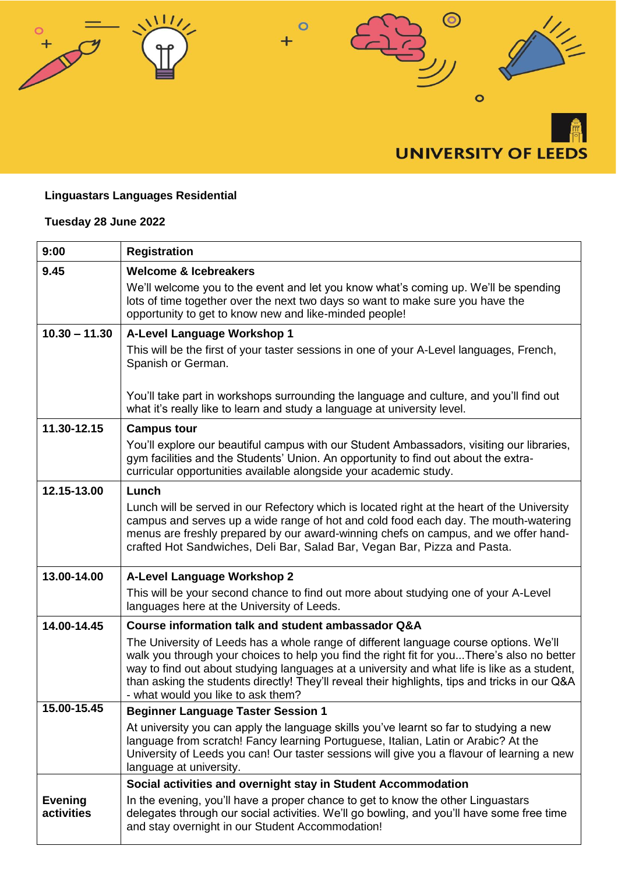

## **Linguastars Languages Residential**

## **Tuesday 28 June 2022**

| 9:00                         | <b>Registration</b>                                                                                                                                                                                                                                                                                                                                                                                                         |
|------------------------------|-----------------------------------------------------------------------------------------------------------------------------------------------------------------------------------------------------------------------------------------------------------------------------------------------------------------------------------------------------------------------------------------------------------------------------|
| 9.45                         | <b>Welcome &amp; Icebreakers</b>                                                                                                                                                                                                                                                                                                                                                                                            |
|                              | We'll welcome you to the event and let you know what's coming up. We'll be spending<br>lots of time together over the next two days so want to make sure you have the<br>opportunity to get to know new and like-minded people!                                                                                                                                                                                             |
| $10.30 - 11.30$              | A-Level Language Workshop 1                                                                                                                                                                                                                                                                                                                                                                                                 |
|                              | This will be the first of your taster sessions in one of your A-Level languages, French,<br>Spanish or German.                                                                                                                                                                                                                                                                                                              |
|                              | You'll take part in workshops surrounding the language and culture, and you'll find out<br>what it's really like to learn and study a language at university level.                                                                                                                                                                                                                                                         |
| 11.30-12.15                  | <b>Campus tour</b>                                                                                                                                                                                                                                                                                                                                                                                                          |
|                              | You'll explore our beautiful campus with our Student Ambassadors, visiting our libraries,<br>gym facilities and the Students' Union. An opportunity to find out about the extra-<br>curricular opportunities available alongside your academic study.                                                                                                                                                                       |
| 12.15-13.00                  | Lunch                                                                                                                                                                                                                                                                                                                                                                                                                       |
|                              | Lunch will be served in our Refectory which is located right at the heart of the University<br>campus and serves up a wide range of hot and cold food each day. The mouth-watering<br>menus are freshly prepared by our award-winning chefs on campus, and we offer hand-<br>crafted Hot Sandwiches, Deli Bar, Salad Bar, Vegan Bar, Pizza and Pasta.                                                                       |
| 13.00-14.00                  | A-Level Language Workshop 2                                                                                                                                                                                                                                                                                                                                                                                                 |
|                              | This will be your second chance to find out more about studying one of your A-Level<br>languages here at the University of Leeds.                                                                                                                                                                                                                                                                                           |
| 14.00-14.45                  | Course information talk and student ambassador Q&A                                                                                                                                                                                                                                                                                                                                                                          |
|                              | The University of Leeds has a whole range of different language course options. We'll<br>walk you through your choices to help you find the right fit for youThere's also no better<br>way to find out about studying languages at a university and what life is like as a student,<br>than asking the students directly! They'll reveal their highlights, tips and tricks in our Q&A<br>- what would you like to ask them? |
| 15.00-15.45                  | <b>Beginner Language Taster Session 1</b>                                                                                                                                                                                                                                                                                                                                                                                   |
|                              | At university you can apply the language skills you've learnt so far to studying a new<br>language from scratch! Fancy learning Portuguese, Italian, Latin or Arabic? At the<br>University of Leeds you can! Our taster sessions will give you a flavour of learning a new<br>language at university.                                                                                                                       |
|                              | Social activities and overnight stay in Student Accommodation                                                                                                                                                                                                                                                                                                                                                               |
| <b>Evening</b><br>activities | In the evening, you'll have a proper chance to get to know the other Linguastars<br>delegates through our social activities. We'll go bowling, and you'll have some free time<br>and stay overnight in our Student Accommodation!                                                                                                                                                                                           |